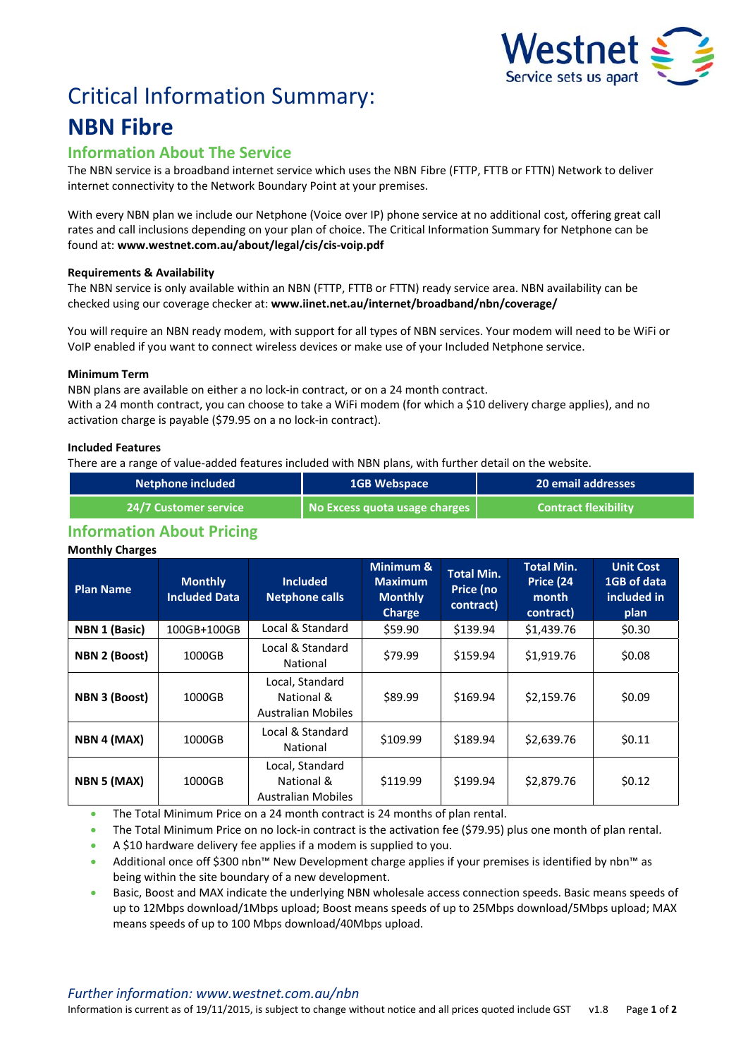

# Critical Information Summary: **NBN Fibre**

## **Information About The Service**

The NBN service is a broadband internet service which uses the NBNFibre (FTTP, FTTB or FTTN) Network to deliver internet connectivity to the Network Boundary Point at your premises.

With every NBN plan we include our Netphone (Voice over IP) phone service at no additional cost, offering great call rates and call inclusions depending on your plan of choice. The Critical Information Summary for Netphone can be found at: **www.westnet.com.au/about/legal/cis/cis‐voip.pdf**

## **Requirements & Availability**

The NBN service is only available within an NBN (FTTP, FTTB or FTTN) ready service area. NBN availability can be checked using our coverage checker at: **www.iinet.net.au/internet/broadband/nbn/coverage/**

You will require an NBN ready modem, with support for all types of NBN services. Your modem will need to be WiFi or VoIP enabled if you want to connect wireless devices or make use of your Included Netphone service.

## **Minimum Term**

NBN plans are available on either a no lock‐in contract, or on a 24 month contract. With a 24 month contract, you can choose to take a WiFi modem (for which a \$10 delivery charge applies), and no activation charge is payable (\$79.95 on a no lock‐in contract).

## **Included Features**

There are a range of value-added features included with NBN plans, with further detail on the website.

| Netphone included            | <b>1GB Webspace</b>                                         | <b>20 email addresses</b>   |  |
|------------------------------|-------------------------------------------------------------|-----------------------------|--|
| <b>24/7 Customer service</b> | $\blacksquare$ No Excess quota usage charges $\blacksquare$ | <b>Contract flexibility</b> |  |

# **Information About Pricing**

#### **Monthly Charges**

| <b>Plan Name</b>     | <b>Monthly</b><br><b>Included Data</b> | <b>Included</b><br><b>Netphone calls</b>                   | Minimum &<br><b>Maximum</b><br><b>Monthly</b><br><b>Charge</b> | <b>Total Min.</b><br>Price (no<br>contract) | <b>Total Min.</b><br>Price (24<br>month<br>contract) | <b>Unit Cost</b><br>1GB of data<br>included in<br>plan |
|----------------------|----------------------------------------|------------------------------------------------------------|----------------------------------------------------------------|---------------------------------------------|------------------------------------------------------|--------------------------------------------------------|
| <b>NBN 1 (Basic)</b> | 100GB+100GB                            | Local & Standard                                           | \$59.90                                                        | \$139.94                                    | \$1,439.76                                           | \$0.30                                                 |
| NBN 2 (Boost)        | 1000GB                                 | Local & Standard<br>National                               | \$79.99                                                        | \$159.94                                    | \$1,919.76                                           | \$0.08                                                 |
| <b>NBN 3 (Boost)</b> | 1000GB                                 | Local, Standard<br>National &<br><b>Australian Mobiles</b> | \$89.99                                                        | \$169.94                                    | \$2,159.76                                           | \$0.09                                                 |
| NBN 4 (MAX)          | 1000GB                                 | Local & Standard<br>National                               | \$109.99                                                       | \$189.94                                    | \$2,639.76                                           | \$0.11                                                 |
| NBN 5 (MAX)          | 1000GB                                 | Local, Standard<br>National &<br><b>Australian Mobiles</b> | \$119.99                                                       | \$199.94                                    | \$2,879.76                                           | \$0.12                                                 |

The Total Minimum Price on a 24 month contract is 24 months of plan rental.

The Total Minimum Price on no lock-in contract is the activation fee (\$79.95) plus one month of plan rental.

A \$10 hardware delivery fee applies if a modem is supplied to you.

 Additional once off \$300 nbn™ New Development charge applies if your premises is identified by nbn™ as being within the site boundary of a new development.

 Basic, Boost and MAX indicate the underlying NBN wholesale access connection speeds. Basic means speeds of up to 12Mbps download/1Mbps upload; Boost means speeds of up to 25Mbps download/5Mbps upload; MAX means speeds of up to 100 Mbps download/40Mbps upload.